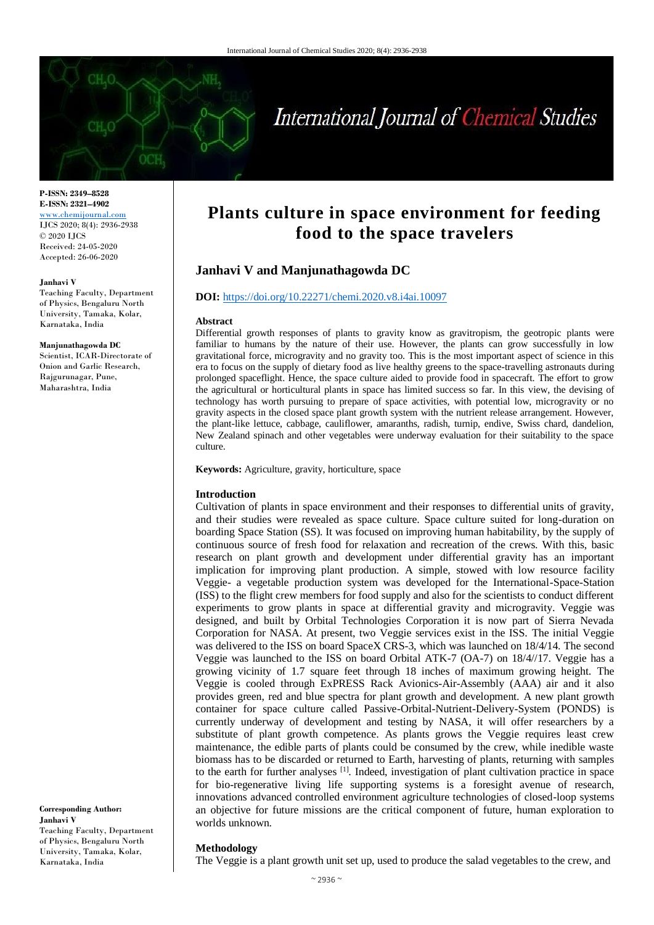

# International Journal of Chemical Studies

**P-ISSN: 2349–8528 E-ISSN: 2321–4902** [www.chemijournal.com](http://www.chemijournal.com/) IJCS 2020; 8(4): 2936-2938 © 2020 IJCS Received: 24-05-2020 Accepted: 26-06-2020

#### **Janhavi V**

Teaching Faculty, Department of Physics, Bengaluru North University, Tamaka, Kolar, Karnataka, India

#### **Manjunathagowda DC**

Scientist, ICAR-Directorate of Onion and Garlic Research, Rajgurunagar, Pune, Maharashtra, India

**Corresponding Author: Janhavi V** Teaching Faculty, Department of Physics, Bengaluru North University, Tamaka, Kolar, Karnataka, India

## **Plants culture in space environment for feeding food to the space travelers**

### **Janhavi V and Manjunathagowda DC**

#### **DOI:** <https://doi.org/10.22271/chemi.2020.v8.i4ai.10097>

#### **Abstract**

Differential growth responses of plants to gravity know as gravitropism, the geotropic plants were familiar to humans by the nature of their use. However, the plants can grow successfully in low gravitational force, microgravity and no gravity too. This is the most important aspect of science in this era to focus on the supply of dietary food as live healthy greens to the space-travelling astronauts during prolonged spaceflight. Hence, the space culture aided to provide food in spacecraft. The effort to grow the agricultural or horticultural plants in space has limited success so far. In this view, the devising of technology has worth pursuing to prepare of space activities, with potential low, microgravity or no gravity aspects in the closed space plant growth system with the nutrient release arrangement. However, the plant-like lettuce, cabbage, cauliflower, amaranths, radish, turnip, endive, Swiss chard, dandelion, New Zealand spinach and other vegetables were underway evaluation for their suitability to the space culture.

**Keywords:** Agriculture, gravity, horticulture, space

#### **Introduction**

Cultivation of plants in space environment and their responses to differential units of gravity, and their studies were revealed as space culture. Space culture suited for long-duration on boarding Space Station (SS). It was focused on improving human habitability, by the supply of continuous source of fresh food for relaxation and recreation of the crews. With this, basic research on plant growth and development under differential gravity has an important implication for improving plant production. A simple, stowed with low resource facility Veggie- a vegetable production system was developed for the International-Space-Station (ISS) to the flight crew members for food supply and also for the scientists to conduct different experiments to grow plants in space at differential gravity and microgravity. Veggie was designed, and built by Orbital Technologies Corporation it is now part of Sierra Nevada Corporation for NASA. At present, two Veggie services exist in the ISS. The initial Veggie was delivered to the ISS on board SpaceX CRS-3, which was launched on 18/4/14. The second Veggie was launched to the ISS on board Orbital ATK-7 (OA-7) on 18/4//17. Veggie has a growing vicinity of 1.7 square feet through 18 inches of maximum growing height. The Veggie is cooled through ExPRESS Rack Avionics-Air-Assembly (AAA) air and it also provides green, red and blue spectra for plant growth and development. A new plant growth container for space culture called Passive-Orbital-Nutrient-Delivery-System (PONDS) is currently underway of development and testing by NASA, it will offer researchers by a substitute of plant growth competence. As plants grows the Veggie requires least crew maintenance, the edible parts of plants could be consumed by the crew, while inedible waste biomass has to be discarded or returned to Earth, harvesting of plants, returning with samples to the earth for further analyses  $[1]$ . Indeed, investigation of plant cultivation practice in space for bio-regenerative living life supporting systems is a foresight avenue of research, innovations advanced controlled environment agriculture technologies of closed-loop systems an objective for future missions are the critical component of future, human exploration to worlds unknown.

#### **Methodology**

The Veggie is a plant growth unit set up, used to produce the salad vegetables to the crew, and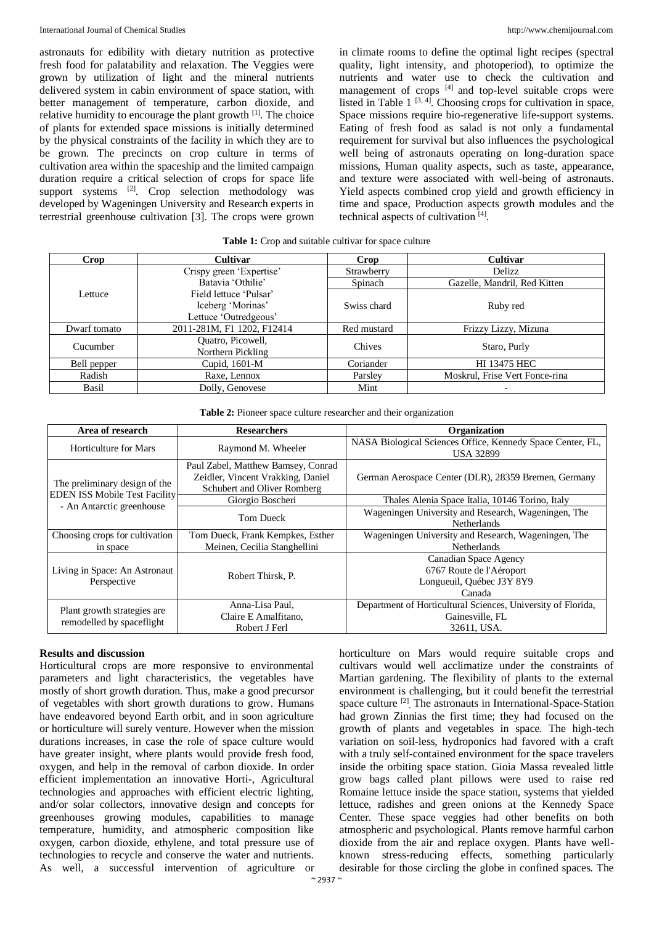astronauts for edibility with dietary nutrition as protective fresh food for palatability and relaxation. The Veggies were grown by utilization of light and the mineral nutrients delivered system in cabin environment of space station, with better management of temperature, carbon dioxide, and relative humidity to encourage the plant growth  $[1]$ . The choice of plants for extended space missions is initially determined by the physical constraints of the facility in which they are to be grown. The precincts on crop culture in terms of cultivation area within the spaceship and the limited campaign duration require a critical selection of crops for space life support systems <sup>[2]</sup>. Crop selection methodology was developed by Wageningen University and Research experts in terrestrial greenhouse cultivation [3]. The crops were grown

in climate rooms to define the optimal light recipes (spectral quality, light intensity, and photoperiod), to optimize the nutrients and water use to check the cultivation and management of crops <sup>[4]</sup> and top-level suitable crops were listed in Table  $1^{[3,4]}$ . Choosing crops for cultivation in space, Space missions require bio-regenerative life-support systems. Eating of fresh food as salad is not only a fundamental requirement for survival but also influences the psychological well being of astronauts operating on long-duration space missions, Human quality aspects, such as taste, appearance, and texture were associated with well-being of astronauts. Yield aspects combined crop yield and growth efficiency in time and space, Production aspects growth modules and the technical aspects of cultivation [4].

| <b>Crop</b>  | <b>Cultivar</b>                        | Crop        | <b>Cultivar</b>                |  |
|--------------|----------------------------------------|-------------|--------------------------------|--|
|              | Crispy green 'Expertise'               | Strawberry  | Delizz                         |  |
| Lettuce      | Batavia 'Othilie'                      | Spinach     | Gazelle, Mandril, Red Kitten   |  |
|              | Field lettuce 'Pulsar'                 |             |                                |  |
|              | Iceberg 'Morinas'                      | Swiss chard | Ruby red                       |  |
|              | Lettuce 'Outredgeous'                  |             |                                |  |
| Dwarf tomato | 2011-281M, F1 1202, F12414             | Red mustard | Frizzy Lizzy, Mizuna           |  |
| Cucumber     | Quatro, Picowell,<br>Northern Pickling | Chives      | Staro, Purly                   |  |
| Bell pepper  | Cupid, 1601-M                          | Coriander   | <b>HI 13475 HEC</b>            |  |
| Radish       | Raxe, Lennox                           | Parsley     | Moskrul, Frise Vert Fonce-rina |  |
| Basil        | Dolly, Genovese                        | Mint        |                                |  |

#### Table 1: Crop and suitable cultivar for space culture

| <b>Table 2:</b> Pioneer space culture researcher and their organization |  |  |  |  |  |  |  |  |
|-------------------------------------------------------------------------|--|--|--|--|--|--|--|--|
|-------------------------------------------------------------------------|--|--|--|--|--|--|--|--|

| Area of research                     | <b>Researchers</b>                 | Organization                                                                   |  |  |
|--------------------------------------|------------------------------------|--------------------------------------------------------------------------------|--|--|
| Horticulture for Mars                | Raymond M. Wheeler                 | NASA Biological Sciences Office, Kennedy Space Center, FL,<br><b>USA 32899</b> |  |  |
|                                      | Paul Zabel, Matthew Bamsey, Conrad |                                                                                |  |  |
| The preliminary design of the        | Zeidler, Vincent Vrakking, Daniel  | German Aerospace Center (DLR), 28359 Bremen, Germany                           |  |  |
| <b>EDEN ISS Mobile Test Facility</b> | Schubert and Oliver Romberg        |                                                                                |  |  |
| - An Antarctic greenhouse            | Giorgio Boscheri                   | Thales Alenia Space Italia, 10146 Torino, Italy                                |  |  |
|                                      | Tom Dueck                          | Wageningen University and Research, Wageningen, The                            |  |  |
|                                      |                                    | <b>Netherlands</b>                                                             |  |  |
| Choosing crops for cultivation       | Tom Dueck, Frank Kempkes, Esther   | Wageningen University and Research, Wageningen, The                            |  |  |
| in space                             | Meinen, Cecilia Stanghellini       | <b>Netherlands</b>                                                             |  |  |
|                                      |                                    | Canadian Space Agency                                                          |  |  |
| Living in Space: An Astronaut        | Robert Thirsk, P.                  | 6767 Route de l'Aéroport                                                       |  |  |
| Perspective                          |                                    | Longueuil, Québec J3Y 8Y9                                                      |  |  |
|                                      |                                    | Canada                                                                         |  |  |
|                                      | Anna-Lisa Paul,                    | Department of Horticultural Sciences, University of Florida,                   |  |  |
| Plant growth strategies are.         | Claire E Amalfitano,               | Gainesville, FL                                                                |  |  |
| remodelled by spaceflight            | Robert J Ferl                      | 32611, USA.                                                                    |  |  |

#### **Results and discussion**

Horticultural crops are more responsive to environmental parameters and light characteristics, the vegetables have mostly of short growth duration. Thus, make a good precursor of vegetables with short growth durations to grow. Humans have endeavored beyond Earth orbit, and in soon agriculture or horticulture will surely venture. However when the mission durations increases, in case the role of space culture would have greater insight, where plants would provide fresh food, oxygen, and help in the removal of carbon dioxide. In order efficient implementation an innovative Horti-, Agricultural technologies and approaches with efficient electric lighting, and/or solar collectors, innovative design and concepts for greenhouses growing modules, capabilities to manage temperature, humidity, and atmospheric composition like oxygen, carbon dioxide, ethylene, and total pressure use of technologies to recycle and conserve the water and nutrients. As well, a successful intervention of agriculture or cultivars would well acclimatize under the constraints of Martian gardening. The flexibility of plants to the external environment is challenging, but it could benefit the terrestrial space culture<sup>[2]</sup>. The astronauts in International-Space-Station had grown Zinnias the first time; they had focused on the growth of plants and vegetables in space. The high-tech variation on soil-less, hydroponics had favored with a craft with a truly self-contained environment for the space travelers inside the orbiting space station. Gioia Massa revealed little grow bags called plant pillows were used to raise red Romaine lettuce inside the space station, systems that yielded lettuce, radishes and green onions at the Kennedy Space Center. These space veggies had other benefits on both atmospheric and psychological. Plants remove harmful carbon dioxide from the air and replace oxygen. Plants have wellknown stress-reducing effects, something particularly desirable for those circling the globe in confined spaces. The

horticulture on Mars would require suitable crops and